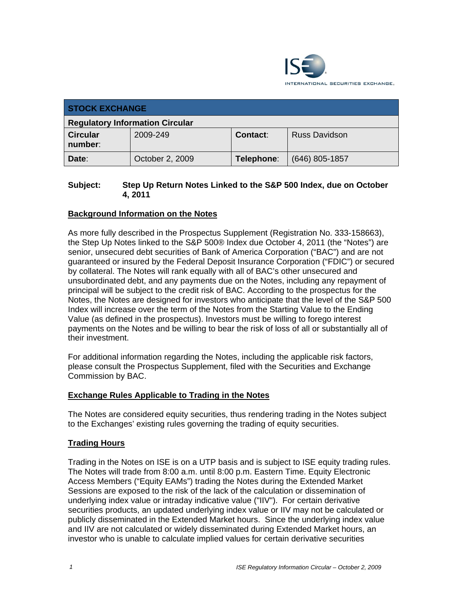

| <b>STOCK EXCHANGE</b>                  |                 |            |                      |  |  |
|----------------------------------------|-----------------|------------|----------------------|--|--|
| <b>Regulatory Information Circular</b> |                 |            |                      |  |  |
| <b>Circular</b><br>number:             | 2009-249        | Contact:   | <b>Russ Davidson</b> |  |  |
| Date:                                  | October 2, 2009 | Telephone: | $(646)$ 805-1857     |  |  |

#### **Subject: Step Up Return Notes Linked to the S&P 500 Index, due on October 4, 2011**

### **Background Information on the Notes**

As more fully described in the Prospectus Supplement (Registration No. 333-158663), the Step Up Notes linked to the S&P 500® Index due October 4, 2011 (the "Notes") are senior, unsecured debt securities of Bank of America Corporation ("BAC") and are not guaranteed or insured by the Federal Deposit Insurance Corporation ("FDIC") or secured by collateral. The Notes will rank equally with all of BAC's other unsecured and unsubordinated debt, and any payments due on the Notes, including any repayment of principal will be subject to the credit risk of BAC. According to the prospectus for the Notes, the Notes are designed for investors who anticipate that the level of the S&P 500 Index will increase over the term of the Notes from the Starting Value to the Ending Value (as defined in the prospectus). Investors must be willing to forego interest payments on the Notes and be willing to bear the risk of loss of all or substantially all of their investment.

For additional information regarding the Notes, including the applicable risk factors, please consult the Prospectus Supplement, filed with the Securities and Exchange Commission by BAC.

#### **Exchange Rules Applicable to Trading in the Notes**

The Notes are considered equity securities, thus rendering trading in the Notes subject to the Exchanges' existing rules governing the trading of equity securities.

#### **Trading Hours**

Trading in the Notes on ISE is on a UTP basis and is subject to ISE equity trading rules. The Notes will trade from 8:00 a.m. until 8:00 p.m. Eastern Time. Equity Electronic Access Members ("Equity EAMs") trading the Notes during the Extended Market Sessions are exposed to the risk of the lack of the calculation or dissemination of underlying index value or intraday indicative value ("IIV"). For certain derivative securities products, an updated underlying index value or IIV may not be calculated or publicly disseminated in the Extended Market hours. Since the underlying index value and IIV are not calculated or widely disseminated during Extended Market hours, an investor who is unable to calculate implied values for certain derivative securities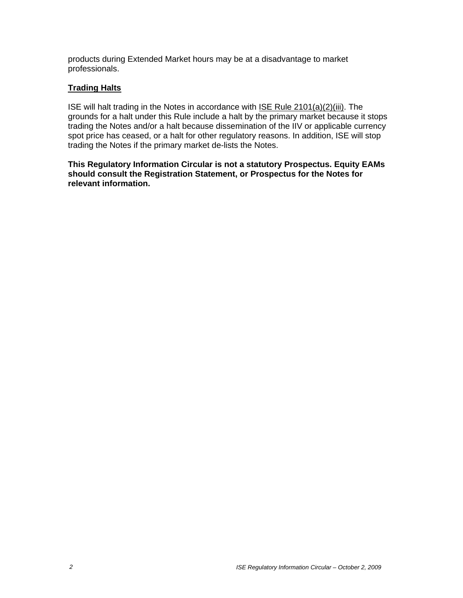products during Extended Market hours may be at a disadvantage to market professionals.

## **Trading Halts**

ISE will halt trading in the Notes in accordance with ISE Rule 2101(a)(2)(iii). The grounds for a halt under this Rule include a halt by the primary market because it stops trading the Notes and/or a halt because dissemination of the IIV or applicable currency spot price has ceased, or a halt for other regulatory reasons. In addition, ISE will stop trading the Notes if the primary market de-lists the Notes.

**This Regulatory Information Circular is not a statutory Prospectus. Equity EAMs should consult the Registration Statement, or Prospectus for the Notes for relevant information.**